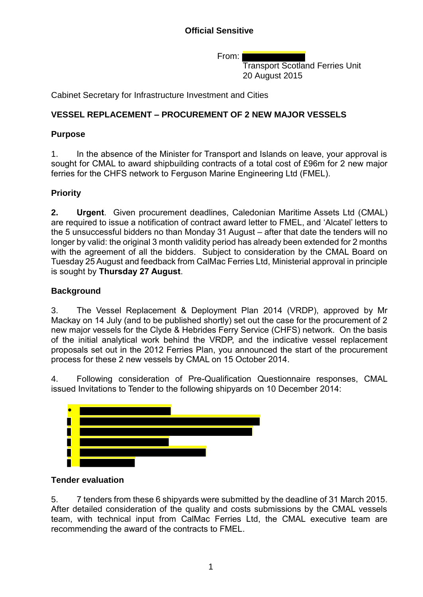From:

Transport Scotland Ferries Unit 20 August 2015

Cabinet Secretary for Infrastructure Investment and Cities

## **VESSEL REPLACEMENT – PROCUREMENT OF 2 NEW MAJOR VESSELS**

## **Purpose**

1. In the absence of the Minister for Transport and Islands on leave, your approval is sought for CMAL to award shipbuilding contracts of a total cost of £96m for 2 new major ferries for the CHFS network to Ferguson Marine Engineering Ltd (FMEL).

# **Priority**

**2. Urgent**. Given procurement deadlines, Caledonian Maritime Assets Ltd (CMAL) are required to issue a notification of contract award letter to FMEL, and 'Alcatel' letters to the 5 unsuccessful bidders no than Monday 31 August – after that date the tenders will no longer by valid: the original 3 month validity period has already been extended for 2 months with the agreement of all the bidders. Subject to consideration by the CMAL Board on Tuesday 25 August and feedback from CalMac Ferries Ltd, Ministerial approval in principle is sought by **Thursday 27 August**.

## **Background**

3. The Vessel Replacement & Deployment Plan 2014 (VRDP), approved by Mr Mackay on 14 July (and to be published shortly) set out the case for the procurement of 2 new major vessels for the Clyde & Hebrides Ferry Service (CHFS) network. On the basis of the initial analytical work behind the VRDP, and the indicative vessel replacement proposals set out in the 2012 Ferries Plan, you announced the start of the procurement process for these 2 new vessels by CMAL on 15 October 2014.

4. Following consideration of Pre-Qualification Questionnaire responses, CMAL issued Invitations to Tender to the following shipyards on 10 December 2014:



### **Tender evaluation**

5. 7 tenders from these 6 shipyards were submitted by the deadline of 31 March 2015. After detailed consideration of the quality and costs submissions by the CMAL vessels team, with technical input from CalMac Ferries Ltd, the CMAL executive team are recommending the award of the contracts to FMEL.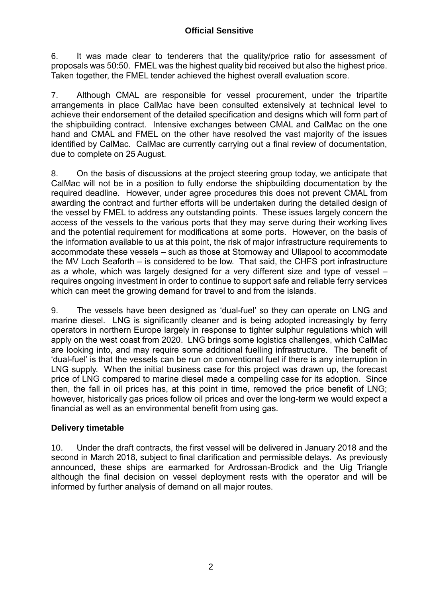6. It was made clear to tenderers that the quality/price ratio for assessment of proposals was 50:50. FMEL was the highest quality bid received but also the highest price. Taken together, the FMEL tender achieved the highest overall evaluation score.

7. Although CMAL are responsible for vessel procurement, under the tripartite arrangements in place CalMac have been consulted extensively at technical level to achieve their endorsement of the detailed specification and designs which will form part of the shipbuilding contract. Intensive exchanges between CMAL and CalMac on the one hand and CMAL and FMEL on the other have resolved the vast majority of the issues identified by CalMac. CalMac are currently carrying out a final review of documentation, due to complete on 25 August.

8. On the basis of discussions at the project steering group today, we anticipate that CalMac will not be in a position to fully endorse the shipbuilding documentation by the required deadline. However, under agree procedures this does not prevent CMAL from awarding the contract and further efforts will be undertaken during the detailed design of the vessel by FMEL to address any outstanding points. These issues largely concern the access of the vessels to the various ports that they may serve during their working lives and the potential requirement for modifications at some ports. However, on the basis of the information available to us at this point, the risk of major infrastructure requirements to accommodate these vessels – such as those at Stornoway and Ullapool to accommodate the MV Loch Seaforth – is considered to be low. That said, the CHFS port infrastructure as a whole, which was largely designed for a very different size and type of vessel – requires ongoing investment in order to continue to support safe and reliable ferry services which can meet the growing demand for travel to and from the islands.

9. The vessels have been designed as 'dual-fuel' so they can operate on LNG and marine diesel. LNG is significantly cleaner and is being adopted increasingly by ferry operators in northern Europe largely in response to tighter sulphur regulations which will apply on the west coast from 2020. LNG brings some logistics challenges, which CalMac are looking into, and may require some additional fuelling infrastructure. The benefit of 'dual-fuel' is that the vessels can be run on conventional fuel if there is any interruption in LNG supply. When the initial business case for this project was drawn up, the forecast price of LNG compared to marine diesel made a compelling case for its adoption. Since then, the fall in oil prices has, at this point in time, removed the price benefit of LNG; however, historically gas prices follow oil prices and over the long-term we would expect a financial as well as an environmental benefit from using gas.

### **Delivery timetable**

10. Under the draft contracts, the first vessel will be delivered in January 2018 and the second in March 2018, subject to final clarification and permissible delays. As previously announced, these ships are earmarked for Ardrossan-Brodick and the Uig Triangle although the final decision on vessel deployment rests with the operator and will be informed by further analysis of demand on all major routes.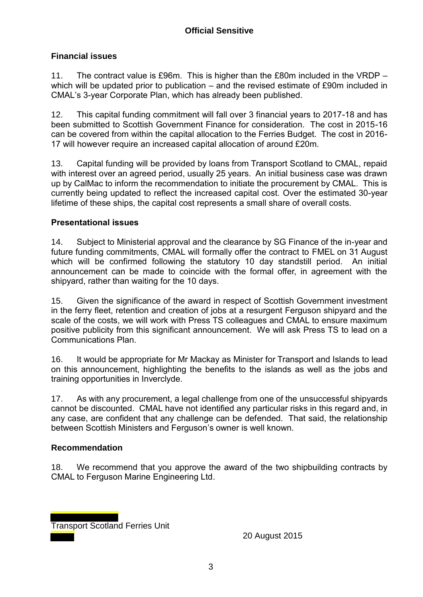### **Financial issues**

11. The contract value is £96m. This is higher than the £80m included in the VRDP – which will be updated prior to publication – and the revised estimate of £90m included in CMAL's 3-year Corporate Plan, which has already been published.

12. This capital funding commitment will fall over 3 financial years to 2017-18 and has been submitted to Scottish Government Finance for consideration. The cost in 2015-16 can be covered from within the capital allocation to the Ferries Budget. The cost in 2016- 17 will however require an increased capital allocation of around £20m.

13. Capital funding will be provided by loans from Transport Scotland to CMAL, repaid with interest over an agreed period, usually 25 years. An initial business case was drawn up by CalMac to inform the recommendation to initiate the procurement by CMAL. This is currently being updated to reflect the increased capital cost. Over the estimated 30-year lifetime of these ships, the capital cost represents a small share of overall costs.

#### **Presentational issues**

14. Subject to Ministerial approval and the clearance by SG Finance of the in-year and future funding commitments, CMAL will formally offer the contract to FMEL on 31 August which will be confirmed following the statutory 10 day standstill period. An initial announcement can be made to coincide with the formal offer, in agreement with the shipyard, rather than waiting for the 10 days.

15. Given the significance of the award in respect of Scottish Government investment in the ferry fleet, retention and creation of jobs at a resurgent Ferguson shipyard and the scale of the costs, we will work with Press TS colleagues and CMAL to ensure maximum positive publicity from this significant announcement. We will ask Press TS to lead on a Communications Plan.

16. It would be appropriate for Mr Mackay as Minister for Transport and Islands to lead on this announcement, highlighting the benefits to the islands as well as the jobs and training opportunities in Inverclyde.

17. As with any procurement, a legal challenge from one of the unsuccessful shipyards cannot be discounted. CMAL have not identified any particular risks in this regard and, in any case, are confident that any challenge can be defended. That said, the relationship between Scottish Ministers and Ferguson's owner is well known.

#### **Recommendation**

18. We recommend that you approve the award of the two shipbuilding contracts by CMAL to Ferguson Marine Engineering Ltd.

Transport Scotland Ferries Unit

20 August 2015